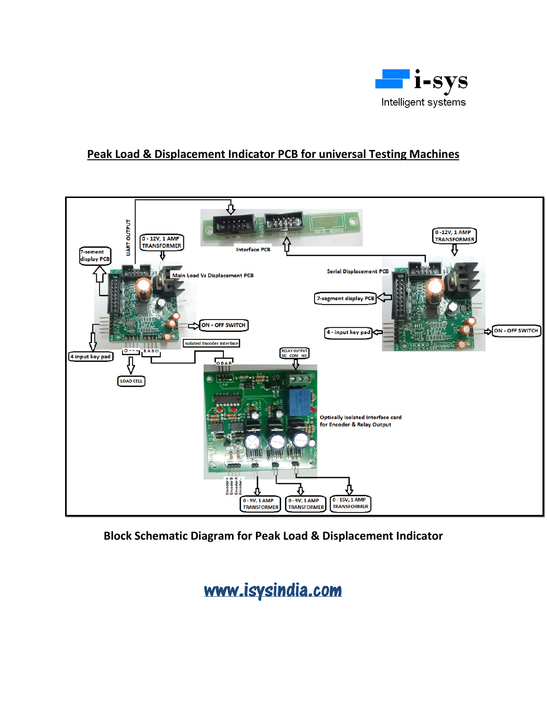

## **Peak Load & Displacement Indicator PCB for universal Testing Machines**



**Block Schematic Diagram for Peak Load & Displacement Indicator** 

www.isysindia.com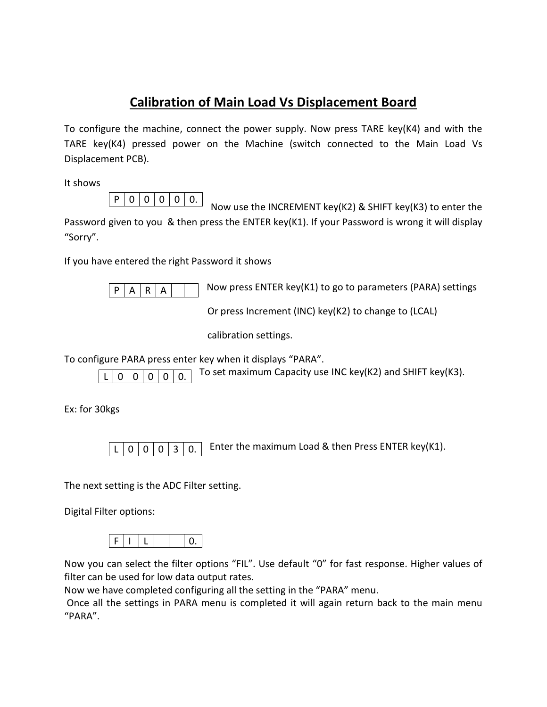## **Calibration of Main Load Vs Displacement Board**

To configure the machine, connect the power supply. Now press TARE key( $K4$ ) and with the TARE key(K4) pressed power on the Machine (switch connected to the Main Load Vs Displacement PCB).

It shows



 Now use the INCREMENT key(K2) & SHIFT key(K3) to enter the Password given to you & then press the ENTER key(K1). If your Password is wrong it will display "Sorry".

If you have entered the right Password it shows

 $A | R | A$ 

 $\overline{P|A|R|A|}$  Now press ENTER key(K1) to go to parameters (PARA) settings

Or press Increment (INC) key(K2) to change to (LCAL)

calibration settings.

To configure PARA press enter key when it displays "PARA".

 $\boxed{0}$   $\boxed{0}$   $\boxed{0}$   $\boxed{0}$   $\boxed{0}$ . To set maximum Capacity use INC key(K2) and SHIFT key(K3).  $0 0 0$ .

Ex: for 30kgs

 $\lceil \frac{1}{\log n} \rceil$   $\lceil \frac{1}{\log n} \rceil$  = Enter the maximum Load & then Press ENTER key(K1).  $0 | 0 | 0 | 3 | 0.$ 

The next setting is the ADC Filter setting.

Digital Filter options:



Now you can select the filter options "FIL". Use default "0" for fast response. Higher values of filter can be used for low data output rates.

Now we have completed configuring all the setting in the "PARA" menu.

 Once all the settings in PARA menu is completed it will again return back to the main menu "PARA".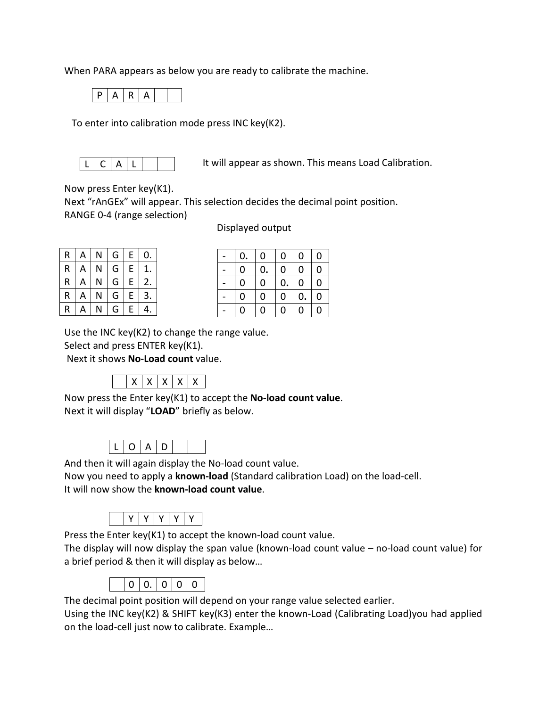When PARA appears as below you are ready to calibrate the machine.



To enter into calibration mode press INC key(K2).



It will appear as shown. This means Load Calibration.

Now press Enter key(K1).

Next "rAnGEx" will appear. This selection decides the decimal point position. RANGE 0-4 (range selection)

Displayed output

| R | A | N | G | E | 0. |
|---|---|---|---|---|----|
| R | А | N | G | E | 1. |
| R | A | N | G | E | 2. |
| R | A | N | G | E | 3. |
| R | д |   | G | E | 4. |

| 0.          | 0           | 0           | $\boldsymbol{0}$ | $\boldsymbol{0}$ |
|-------------|-------------|-------------|------------------|------------------|
| 0           | 0.          | $\mathbf 0$ | $\mathbf 0$      | $\mathbf 0$      |
| 0           | 0           | 0.          | $\mathbf 0$      | $\mathbf 0$      |
| $\mathbf 0$ | $\mathbf 0$ | $\mathbf 0$ | 0.               | $\mathbf 0$      |
| 0           | 0           | $\mathbf 0$ | $\mathbf 0$      | $\mathbf 0$      |

Use the INC key(K2) to change the range value.

Select and press ENTER key(K1).

Next it shows **No-Load count** value.



Now press the Enter key(K1) to accept the **No-load count value**. Next it will display "**LOAD**" briefly as below. Ì

|--|--|--|--|

And then it will again display the No-load count value.

Now you need to apply a **known-load** (Standard calibration Load) on the load-cell. It will now show the **known-load count value**.

|--|--|--|--|--|--|

Press the Enter key(K1) to accept the known-load count value.

The display will now display the span value (known-load count value – no-load count value) for a brief period & then it will display as below…



The decimal point position will depend on your range value selected earlier.

Using the INC key(K2) & SHIFT key(K3) enter the known-Load (Calibrating Load)you had applied on the load-cell just now to calibrate. Example…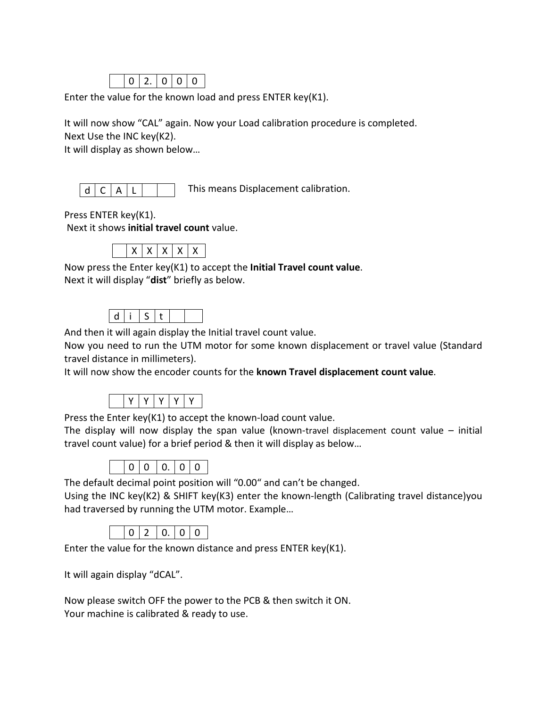

Enter the value for the known load and press ENTER key(K1).

It will now show "CAL" again. Now your Load calibration procedure is completed. Next Use the INC key(K2).

It will display as shown below…

|--|

This means Displacement calibration.

Press ENTER key(K1).

Next it shows **initial travel count** value.

|--|--|

Now press the Enter key(K1) to accept the **Initial Travel count value**. Next it will display "**dist**" briefly as below. Ì

And then it will again display the Initial travel count value.

Now you need to run the UTM motor for some known displacement or travel value (Standard travel distance in millimeters).

It will now show the encoder counts for the **known Travel displacement count value**.



Press the Enter key(K1) to accept the known-load count value.

The display will now display the span value (known-travel displacement count value  $-$  initial travel count value) for a brief period & then it will display as below…



The default decimal point position will "0.00" and can't be changed.

Using the INC key(K2) & SHIFT key(K3) enter the known-length (Calibrating travel distance)you had traversed by running the UTM motor. Example…

|--|--|

Enter the value for the known distance and press ENTER key(K1).

It will again display "dCAL".

Now please switch OFF the power to the PCB & then switch it ON. Your machine is calibrated & ready to use.